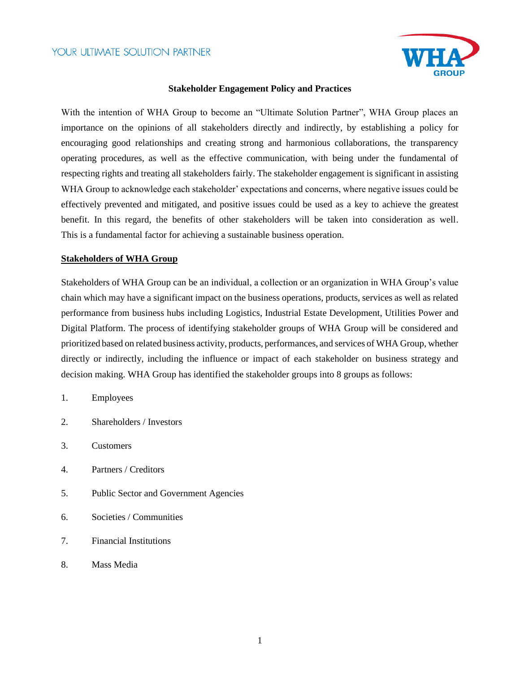

### **Stakeholder Engagement Policy and Practices**

With the intention of WHA Group to become an "Ultimate Solution Partner", WHA Group places an importance on the opinions of all stakeholders directly and indirectly, by establishing a policy for encouraging good relationships and creating strong and harmonious collaborations, the transparency operating procedures, as well as the effective communication, with being under the fundamental of respecting rights and treating all stakeholders fairly. The stakeholder engagement is significant in assisting WHA Group to acknowledge each stakeholder' expectations and concerns, where negative issues could be effectively prevented and mitigated, and positive issues could be used as a key to achieve the greatest benefit. In this regard, the benefits of other stakeholders will be taken into consideration as well. This is a fundamental factor for achieving a sustainable business operation.

#### **Stakeholders of WHA Group**

Stakeholders of WHA Group can be an individual, a collection or an organization in WHA Group's value chain which may have a significant impact on the business operations, products, services as well as related performance from business hubs including Logistics, Industrial Estate Development, Utilities Power and Digital Platform. The process of identifying stakeholder groups of WHA Group will be considered and prioritized based on related business activity, products, performances, and services of WHA Group, whether directly or indirectly, including the influence or impact of each stakeholder on business strategy and decision making. WHA Group has identified the stakeholder groups into 8 groups as follows:

- 1. Employees
- 2. Shareholders / Investors
- 3. Customers
- 4. Partners / Creditors
- 5. Public Sector and Government Agencies
- 6. Societies / Communities
- 7. Financial Institutions
- 8. Mass Media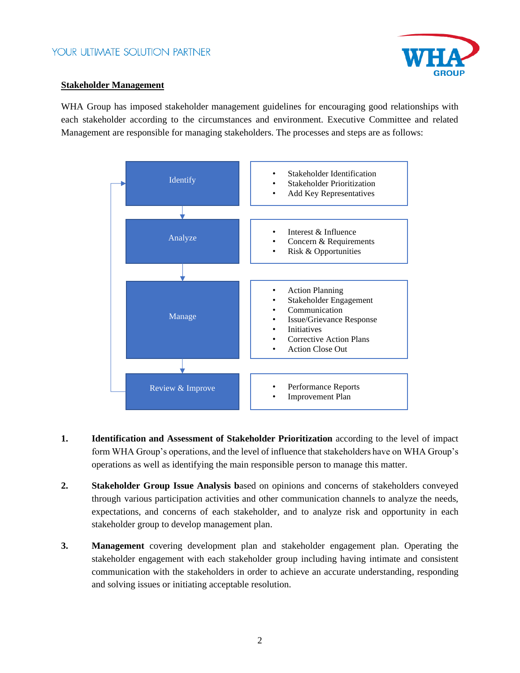

### **Stakeholder Management**

WHA Group has imposed stakeholder management guidelines for encouraging good relationships with each stakeholder according to the circumstances and environment. Executive Committee and related Management are responsible for managing stakeholders. The processes and steps are as follows:



- **1. Identification and Assessment of Stakeholder Prioritization** according to the level of impact form WHA Group's operations, and the level of influence that stakeholders have on WHA Group's operations as well as identifying the main responsible person to manage this matter.
- **2. Stakeholder Group Issue Analysis b**ased on opinions and concerns of stakeholders conveyed through various participation activities and other communication channels to analyze the needs, expectations, and concerns of each stakeholder, and to analyze risk and opportunity in each stakeholder group to develop management plan.
- **3. Management** covering development plan and stakeholder engagement plan. Operating the stakeholder engagement with each stakeholder group including having intimate and consistent communication with the stakeholders in order to achieve an accurate understanding, responding and solving issues or initiating acceptable resolution.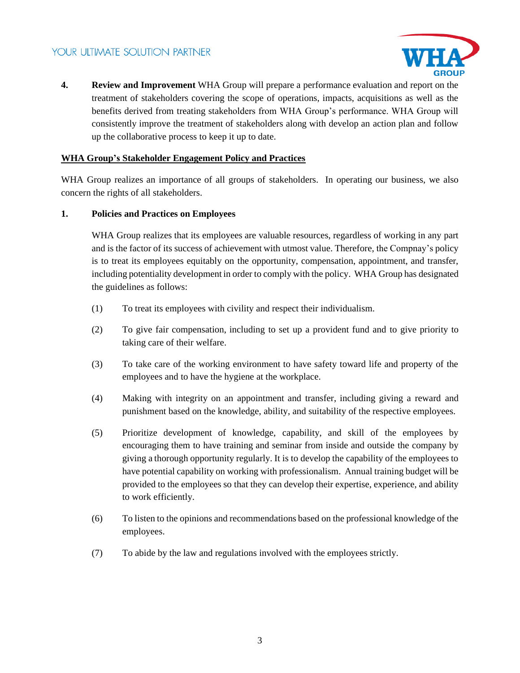

**4. Review and Improvement** WHA Group will prepare a performance evaluation and report on the treatment of stakeholders covering the scope of operations, impacts, acquisitions as well as the benefits derived from treating stakeholders from WHA Group's performance. WHA Group will consistently improve the treatment of stakeholders along with develop an action plan and follow up the collaborative process to keep it up to date.

### **WHA Group's Stakeholder Engagement Policy and Practices**

WHA Group realizes an importance of all groups of stakeholders. In operating our business, we also concern the rights of all stakeholders.

### **1. Policies and Practices on Employees**

WHA Group realizes that its employees are valuable resources, regardless of working in any part and is the factor of its success of achievement with utmost value. Therefore, the Compnay's policy is to treat its employees equitably on the opportunity, compensation, appointment, and transfer, including potentiality development in order to comply with the policy. WHA Group has designated the guidelines as follows:

- (1) To treat its employees with civility and respect their individualism.
- (2) To give fair compensation, including to set up a provident fund and to give priority to taking care of their welfare.
- (3) To take care of the working environment to have safety toward life and property of the employees and to have the hygiene at the workplace.
- (4) Making with integrity on an appointment and transfer, including giving a reward and punishment based on the knowledge, ability, and suitability of the respective employees.
- (5) Prioritize development of knowledge, capability, and skill of the employees by encouraging them to have training and seminar from inside and outside the company by giving a thorough opportunity regularly. It is to develop the capability of the employees to have potential capability on working with professionalism. Annual training budget will be provided to the employees so that they can develop their expertise, experience, and ability to work efficiently.
- (6) To listen to the opinions and recommendations based on the professional knowledge of the employees.
- (7) To abide by the law and regulations involved with the employees strictly.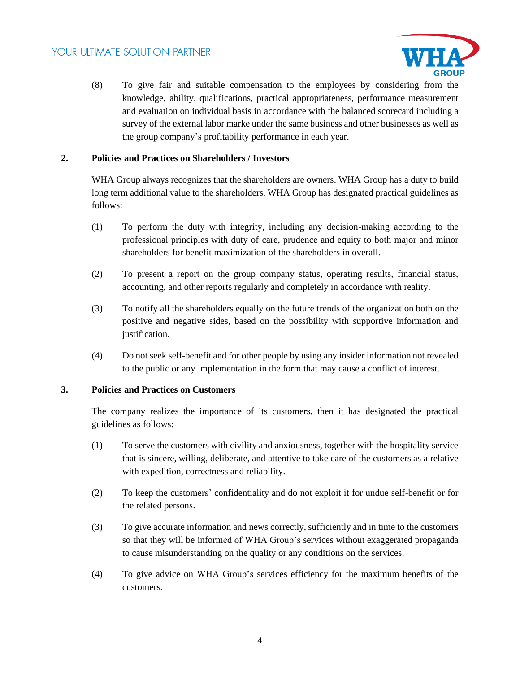

(8) To give fair and suitable compensation to the employees by considering from the knowledge, ability, qualifications, practical appropriateness, performance measurement and evaluation on individual basis in accordance with the balanced scorecard including a survey of the external labor marke under the same business and other businesses as well as the group company's profitability performance in each year.

### **2. Policies and Practices on Shareholders / Investors**

WHA Group always recognizes that the shareholders are owners. WHA Group has a duty to build long term additional value to the shareholders. WHA Group has designated practical guidelines as follows:

- (1) To perform the duty with integrity, including any decision-making according to the professional principles with duty of care, prudence and equity to both major and minor shareholders for benefit maximization of the shareholders in overall.
- (2) To present a report on the group company status, operating results, financial status, accounting, and other reports regularly and completely in accordance with reality.
- (3) To notify all the shareholders equally on the future trends of the organization both on the positive and negative sides, based on the possibility with supportive information and justification.
- (4) Do not seek self-benefit and for other people by using any insider information not revealed to the public or any implementation in the form that may cause a conflict of interest.

### **3. Policies and Practices on Customers**

The company realizes the importance of its customers, then it has designated the practical guidelines as follows:

- (1) To serve the customers with civility and anxiousness, together with the hospitality service that is sincere, willing, deliberate, and attentive to take care of the customers as a relative with expedition, correctness and reliability.
- (2) To keep the customers' confidentiality and do not exploit it for undue self-benefit or for the related persons.
- (3) To give accurate information and news correctly, sufficiently and in time to the customers so that they will be informed of WHA Group's services without exaggerated propaganda to cause misunderstanding on the quality or any conditions on the services.
- (4) To give advice on WHA Group's services efficiency for the maximum benefits of the customers.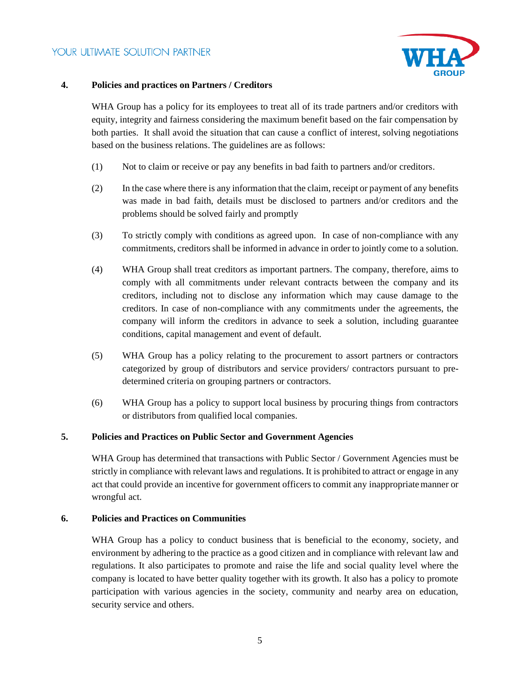

### **4. Policies and practices on Partners / Creditors**

WHA Group has a policy for its employees to treat all of its trade partners and/or creditors with equity, integrity and fairness considering the maximum benefit based on the fair compensation by both parties. It shall avoid the situation that can cause a conflict of interest, solving negotiations based on the business relations. The guidelines are as follows:

- (1) Not to claim or receive or pay any benefits in bad faith to partners and/or creditors.
- (2) In the case where there is any information that the claim, receipt or payment of any benefits was made in bad faith, details must be disclosed to partners and/or creditors and the problems should be solved fairly and promptly
- (3) To strictly comply with conditions as agreed upon. In case of non-compliance with any commitments, creditors shall be informed in advance in order to jointly come to a solution.
- (4) WHA Group shall treat creditors as important partners. The company, therefore, aims to comply with all commitments under relevant contracts between the company and its creditors, including not to disclose any information which may cause damage to the creditors. In case of non-compliance with any commitments under the agreements, the company will inform the creditors in advance to seek a solution, including guarantee conditions, capital management and event of default.
- (5) WHA Group has a policy relating to the procurement to assort partners or contractors categorized by group of distributors and service providers/ contractors pursuant to predetermined criteria on grouping partners or contractors.
- (6) WHA Group has a policy to support local business by procuring things from contractors or distributors from qualified local companies.

### **5. Policies and Practices on Public Sector and Government Agencies**

WHA Group has determined that transactions with Public Sector / Government Agencies must be strictly in compliance with relevant laws and regulations. It is prohibited to attract or engage in any act that could provide an incentive for government officers to commit any inappropriatemanner or wrongful act.

### **6. Policies and Practices on Communities**

WHA Group has a policy to conduct business that is beneficial to the economy, society, and environment by adhering to the practice as a good citizen and in compliance with relevant law and regulations. It also participates to promote and raise the life and social quality level where the company is located to have better quality together with its growth. It also has a policy to promote participation with various agencies in the society, community and nearby area on education, security service and others.